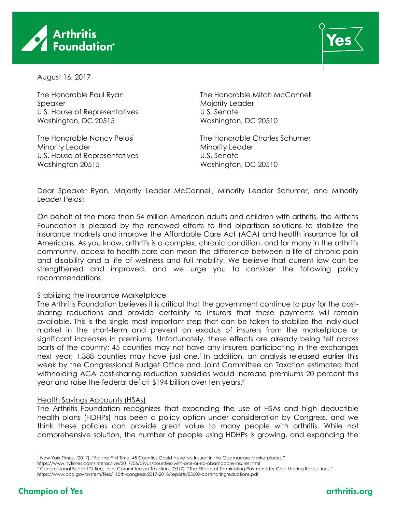



August 16, 2017

Speaker Majority Leader U.S. House of Representatives U.S. Senate Washington, DC 20515 Washington, DC 20510

Minority Leader **Minority Leader** U.S. House of Representatives U.S. Senate Washington 20515 Washington, DC 20510

The Honorable Paul Ryan The Honorable Mitch McConnell

The Honorable Nancy Pelosi The Honorable Charles Schumer

Dear Speaker Ryan, Majority Leader McConnell, Minority Leader Schumer, and Minority Leader Pelosi:

On behalf of the more than 54 million American adults and children with arthritis, the Arthritis Foundation is pleased by the renewed efforts to find bipartisan solutions to stabilize the insurance markets and improve the Affordable Care Act (ACA) and health insurance for all Americans. As you know, arthritis is a complex, chronic condition, and for many in the arthritis community, access to health care can mean the difference between a life of chronic pain and disability and a life of wellness and full mobility. We believe that current law can be strengthened and improved, and we urge you to consider the following policy recommendations.

## Stabilizing the Insurance Marketplace

The Arthritis Foundation believes it is critical that the government continue to pay for the costsharing reductions and provide certainty to insurers that these payments will remain available. This is the single most important step that can be taken to stabilize the individual market in the short-term and prevent an exodus of insurers from the marketplace or significant increases in premiums. Unfortunately, these effects are already being felt across parts of the country: 45 counties may not have any insurers participating in the exchanges next year; 1,388 counties may have just one. 1 In addition, an analysis released earlier this week by the Congressional Budget Office and Joint Committee on Taxation estimated that withholding ACA cost-sharing reduction subsidies would increase premiums 20 percent this year and raise the federal deficit \$194 billion over ten years. 2

## Health Savings Accounts (HSAs)

The Arthritis Foundation recognizes that expanding the use of HSAs and high deductible health plans (HDHPs) has been a policy option under consideration by Congress, and we think these policies can provide great value to many people with arthritis. While not comprehensive solution, the number of people using HDHPs is growing, and expanding the

 $\overline{a}$ 

<sup>&</sup>lt;sup>1</sup> New York Times. (2017). "For the First Time, 45 Counties Could Have No Insurer in the Obamacare Marketplaces."

https://www.nytimes.com/interactive/2017/06/09/us/counties-with-one-or-no-obamacare-insurer.html

<sup>2</sup> Congressional Budget Office, Joint Committee on Taxation. (2017). "The Effects of Terminating Payments for Cost-Sharing Reductions."

https://www.cbo.gov/system/files/115th-congress-2017-2018/reports/53009-costsharingreductions.pdf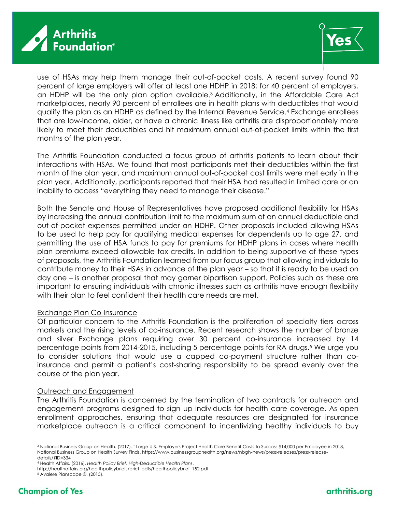



use of HSAs may help them manage their out-of-pocket costs. A recent survey found 90 percent of large employers will offer at least one HDHP in 2018; for 40 percent of employers, an HDHP will be the only plan option available. <sup>3</sup> Additionally, in the Affordable Care Act marketplaces, nearly 90 percent of enrollees are in health plans with deductibles that would qualify the plan as an HDHP as defined by the Internal Revenue Service.<sup>4</sup> Exchange enrollees that are low-income, older, or have a chronic illness like arthritis are disproportionately more likely to meet their deductibles and hit maximum annual out-of-pocket limits within the first months of the plan year.

The Arthritis Foundation conducted a focus group of arthritis patients to learn about their interactions with HSAs. We found that most participants met their deductibles within the first month of the plan year, and maximum annual out-of-pocket cost limits were met early in the plan year. Additionally, participants reported that their HSA had resulted in limited care or an inability to access "everything they need to manage their disease."

Both the Senate and House of Representatives have proposed additional flexibility for HSAs by increasing the annual contribution limit to the maximum sum of an annual deductible and out-of-pocket expenses permitted under an HDHP. Other proposals included allowing HSAs to be used to help pay for qualifying medical expenses for dependents up to age 27, and permitting the use of HSA funds to pay for premiums for HDHP plans in cases where health plan premiums exceed allowable tax credits. In addition to being supportive of these types of proposals, the Arthritis Foundation learned from our focus group that allowing individuals to contribute money to their HSAs in advance of the plan year – so that it is ready to be used on day one – is another proposal that may garner bipartisan support. Policies such as these are important to ensuring individuals with chronic illnesses such as arthritis have enough flexibility with their plan to feel confident their health care needs are met.

## Exchange Plan Co-Insurance

Of particular concern to the Arthritis Foundation is the proliferation of specialty tiers across markets and the rising levels of co-insurance. Recent research shows the number of bronze and silver Exchange plans requiring over 30 percent co-insurance increased by 14 percentage points from 2014-2015, including 5 percentage points for RA drugs.<sup>5</sup> We urge you to consider solutions that would use a capped co-payment structure rather than coinsurance and permit a patient's cost-sharing responsibility to be spread evenly over the course of the plan year.

## Outreach and Engagement

The Arthritis Foundation is concerned by the termination of two contracts for outreach and engagement programs designed to sign up individuals for health care coverage. As open enrollment approaches, ensuring that adequate resources are designated for insurance marketplace outreach is a critical component to incentivizing healthy individuals to buy

 $\overline{a}$ 

<sup>3</sup> National Business Group on Health. (2017). "Large U.S. Employers Project Health Care Benefit Costs to Surpass \$14,000 per Employee in 2018, National Business Group on Health Survey Finds. https://www.businessgrouphealth.org/news/nbgh-news/press-releases/press-releasedetails/?ID=334

<sup>4</sup> Health Affairs. (2016). *Health Policy Brief: High-Deductible Health Plans*.

http://healthaffairs.org/healthpolicybriefs/brief\_pdfs/healthpolicybrief\_152.pdf

<sup>5</sup> Avalere Planscape ®. (2015).